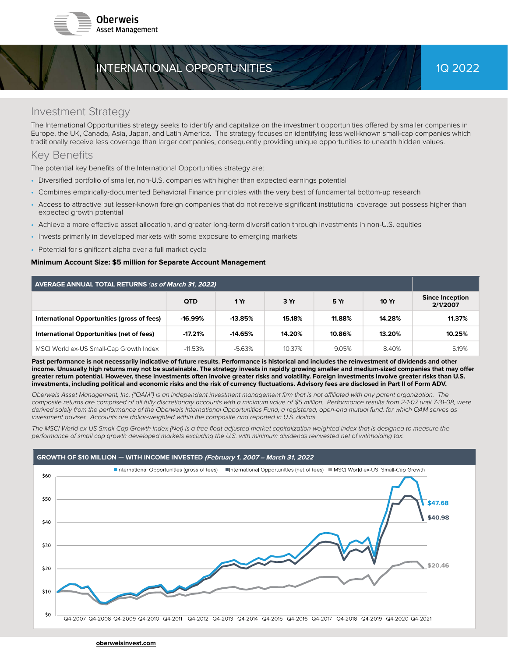

# INTERNATIONAL OPPORTUNITIES 2002/2022

## Investment Strategy

The International Opportunities strategy seeks to identify and capitalize on the investment opportunities offered by smaller companies in Europe, the UK, Canada, Asia, Japan, and Latin America. The strategy focuses on identifying less well-known small-cap companies which traditionally receive less coverage than larger companies, consequently providing unique opportunities to unearth hidden values.

## Key Benefits

The potential key benefits of the International Opportunities strategy are:

- Diversified portfolio of smaller, non-U.S. companies with higher than expected earnings potential
- Combines empirically-documented Behavioral Finance principles with the very best of fundamental bottom-up research
- Access to attractive but lesser-known foreign companies that do not receive significant institutional coverage but possess higher than expected growth potential
- Achieve a more effective asset allocation, and greater long-term diversification through investments in non-U.S. equities
- Invests primarily in developed markets with some exposure to emerging markets
- Potential for significant alpha over a full market cycle

### Minimum Account Size: \$5 million for Separate Account Management

| AVERAGE ANNUAL TOTAL RETURNS (as of March 31, 2022) |            |           |        |        |        |                                    |
|-----------------------------------------------------|------------|-----------|--------|--------|--------|------------------------------------|
|                                                     | <b>QTD</b> | 1 Yr      | 3 Yr   | 5 Yr   | 10 Yr  | <b>Since Inception</b><br>2/1/2007 |
| International Opportunities (gross of fees)         | $-16.99\%$ | $-13.85%$ | 15.18% | 11.88% | 14.28% | 11.37%                             |
| International Opportunities (net of fees)           | $-17.21%$  | $-14.65%$ | 14.20% | 10.86% | 13.20% | 10.25%                             |
| MSCI World ex-US Small-Cap Growth Index             | $-11.53\%$ | -5.63%    | 10.37% | 9.05%  | 8.40%  | 5.19%                              |

Past performance is not necessarily indicative of future results. Performance is historical and includes the reinvestment of dividends and other income. Unusually high returns may not be sustainable. The strategy invests in rapidly growing smaller and medium-sized companies that may offer greater return potential. However, these investments often involve greater risks and volatility. Foreign investments involve greater risks than U.S. investments, including political and economic risks and the risk of currency fluctuations. Advisory fees are disclosed in Part II of Form ADV.

Oberweis Asset Management, Inc. ("OAM") is an independent investment management firm that is not affiliated with any parent organization. The composite returns are comprised of all fully discretionary accounts with a minimum value of \$5 million. Performance results from 2-1-07 until 7-31-08, were derived solely from the performance of the Oberweis International Opportunities Fund, a registered, open-end mutual fund, for which OAM serves as investment adviser. Accounts are dollar-weighted within the composite and reported in U.S. dollars.

The MSCI World ex-US Small-Cap Growth Index (Net) is a free float-adjusted market capitalization weighted index that is designed to measure the performance of small cap growth developed markets excluding the U.S. with minimum dividends reinvested net of withholding tax.

#### GROWTH OF \$10 MILLION - WITH INCOME INVESTED (February 1, 2007 - March 31, 2022